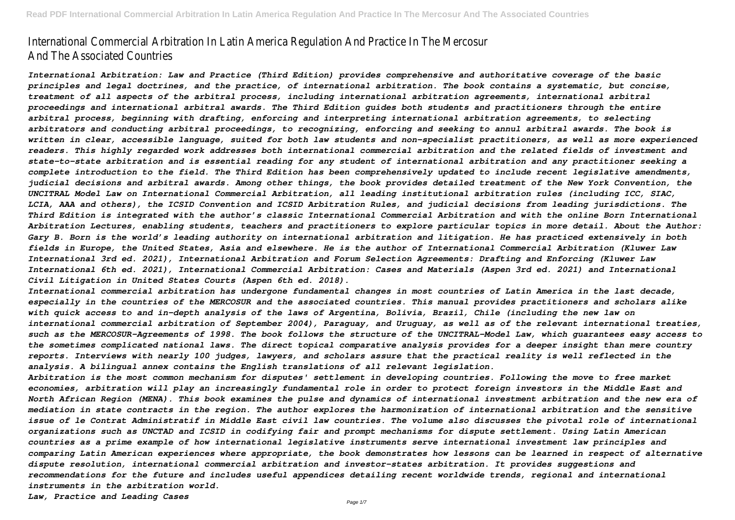# International Commercial Arbitration In Latin America Regulation And Practice In The Mercosur And The Associated Countries

*International Arbitration: Law and Practice (Third Edition) provides comprehensive and authoritative coverage of the basic principles and legal doctrines, and the practice, of international arbitration. The book contains a systematic, but concise, treatment of all aspects of the arbitral process, including international arbitration agreements, international arbitral proceedings and international arbitral awards. The Third Edition guides both students and practitioners through the entire arbitral process, beginning with drafting, enforcing and interpreting international arbitration agreements, to selecting arbitrators and conducting arbitral proceedings, to recognizing, enforcing and seeking to annul arbitral awards. The book is written in clear, accessible language, suited for both law students and non-specialist practitioners, as well as more experienced readers. This highly regarded work addresses both international commercial arbitration and the related fields of investment and state-to-state arbitration and is essential reading for any student of international arbitration and any practitioner seeking a complete introduction to the field. The Third Edition has been comprehensively updated to include recent legislative amendments, judicial decisions and arbitral awards. Among other things, the book provides detailed treatment of the New York Convention, the UNCITRAL Model Law on International Commercial Arbitration, all leading institutional arbitration rules (including ICC, SIAC, LCIA, AAA and others), the ICSID Convention and ICSID Arbitration Rules, and judicial decisions from leading jurisdictions. The Third Edition is integrated with the author's classic International Commercial Arbitration and with the online Born International Arbitration Lectures, enabling students, teachers and practitioners to explore particular topics in more detail. About the Author: Gary B. Born is the world's leading authority on international arbitration and litigation. He has practiced extensively in both fields in Europe, the United States, Asia and elsewhere. He is the author of International Commercial Arbitration (Kluwer Law International 3rd ed. 2021), International Arbitration and Forum Selection Agreements: Drafting and Enforcing (Kluwer Law International 6th ed. 2021), International Commercial Arbitration: Cases and Materials (Aspen 3rd ed. 2021) and International Civil Litigation in United States Courts (Aspen 6th ed. 2018).*

*International commercial arbitration has undergone fundamental changes in most countries of Latin America in the last decade, especially in the countries of the MERCOSUR and the associated countries. This manual provides practitioners and scholars alike with quick access to and in-depth analysis of the laws of Argentina, Bolivia, Brazil, Chile (including the new law on international commercial arbitration of September 2004), Paraguay, and Uruguay, as well as of the relevant international treaties, such as the MERCOSUR-Agreements of 1998. The book follows the structure of the UNCITRAL-Model Law, which guarantees easy access to the sometimes complicated national laws. The direct topical comparative analysis provides for a deeper insight than mere country reports. Interviews with nearly 100 judges, lawyers, and scholars assure that the practical reality is well reflected in the analysis. A bilingual annex contains the English translations of all relevant legislation.*

*Arbitration is the most common mechanism for disputes' settlement in developing countries. Following the move to free market economies, arbitration will play an increasingly fundamental role in order to protect foreign investors in the Middle East and North African Region (MENA). This book examines the pulse and dynamics of international investment arbitration and the new era of mediation in state contracts in the region. The author explores the harmonization of international arbitration and the sensitive issue of le Contrat Administratif in Middle East civil law countries. The volume also discusses the pivotal role of international organizations such as UNCTAD and ICSID in codifying fair and prompt mechanisms for dispute settlement. Using Latin American countries as a prime example of how international legislative instruments serve international investment law principles and comparing Latin American experiences where appropriate, the book demonstrates how lessons can be learned in respect of alternative dispute resolution, international commercial arbitration and investor-states arbitration. It provides suggestions and recommendations for the future and includes useful appendices detailing recent worldwide trends, regional and international instruments in the arbitration world.*

*Law, Practice and Leading Cases*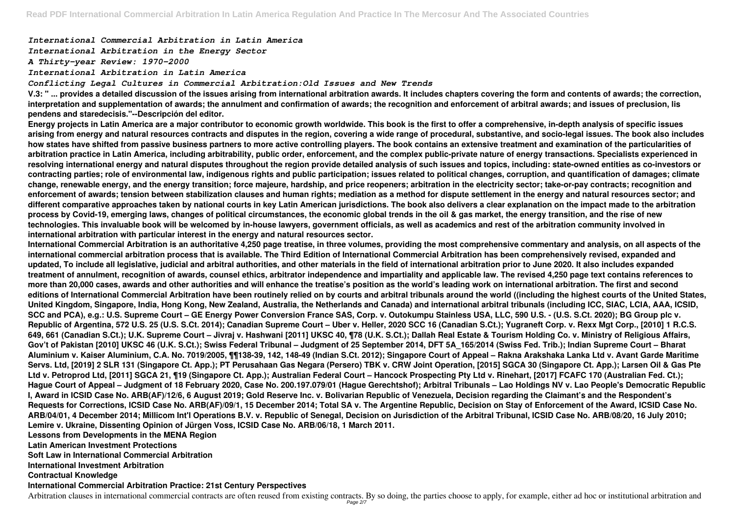### *International Commercial Arbitration in Latin America*

*International Arbitration in the Energy Sector*

*A Thirty-year Review: 1970-2000*

### *International Arbitration in Latin America*

*Conflicting Legal Cultures in Commercial Arbitration:Old Issues and New Trends*

**V.3: " ... provides a detailed discussion of the issues arising from international arbitration awards. It includes chapters covering the form and contents of awards; the correction, interpretation and supplementation of awards; the annulment and confirmation of awards; the recognition and enforcement of arbitral awards; and issues of preclusion, lis pendens and staredecisis."--Descripción del editor.**

**Energy projects in Latin America are a major contributor to economic growth worldwide. This book is the first to offer a comprehensive, in-depth analysis of specific issues arising from energy and natural resources contracts and disputes in the region, covering a wide range of procedural, substantive, and socio-legal issues. The book also includes how states have shifted from passive business partners to more active controlling players. The book contains an extensive treatment and examination of the particularities of arbitration practice in Latin America, including arbitrability, public order, enforcement, and the complex public-private nature of energy transactions. Specialists experienced in resolving international energy and natural disputes throughout the region provide detailed analysis of such issues and topics, including: state-owned entities as co-investors or contracting parties; role of environmental law, indigenous rights and public participation; issues related to political changes, corruption, and quantification of damages; climate change, renewable energy, and the energy transition; force majeure, hardship, and price reopeners; arbitration in the electricity sector; take-or-pay contracts; recognition and enforcement of awards; tension between stabilization clauses and human rights; mediation as a method for dispute settlement in the energy and natural resources sector; and different comparative approaches taken by national courts in key Latin American jurisdictions. The book also delivers a clear explanation on the impact made to the arbitration process by Covid-19, emerging laws, changes of political circumstances, the economic global trends in the oil & gas market, the energy transition, and the rise of new technologies. This invaluable book will be welcomed by in-house lawyers, government officials, as well as academics and rest of the arbitration community involved in international arbitration with particular interest in the energy and natural resources sector.**

**International Commercial Arbitration is an authoritative 4,250 page treatise, in three volumes, providing the most comprehensive commentary and analysis, on all aspects of the international commercial arbitration process that is available. The Third Edition of International Commercial Arbitration has been comprehensively revised, expanded and updated, To include all legislative, judicial and arbitral authorities, and other materials in the field of international arbitration prior to June 2020. It also includes expanded treatment of annulment, recognition of awards, counsel ethics, arbitrator independence and impartiality and applicable law. The revised 4,250 page text contains references to more than 20,000 cases, awards and other authorities and will enhance the treatise's position as the world's leading work on international arbitration. The first and second editions of International Commercial Arbitration have been routinely relied on by courts and arbitral tribunals around the world ((including the highest courts of the United States, United Kingdom, Singapore, India, Hong Kong, New Zealand, Australia, the Netherlands and Canada) and international arbitral tribunals (including ICC, SIAC, LCIA, AAA, ICSID, SCC and PCA), e.g.: U.S. Supreme Court – GE Energy Power Conversion France SAS, Corp. v. Outokumpu Stainless USA, LLC, 590 U.S. - (U.S. S.Ct. 2020); BG Group plc v. Republic of Argentina, 572 U.S. 25 (U.S. S.Ct. 2014); Canadian Supreme Court – Uber v. Heller, 2020 SCC 16 (Canadian S.Ct.); Yugraneft Corp. v. Rexx Mgt Corp., [2010] 1 R.C.S. 649, 661 (Canadian S.Ct.); U.K. Supreme Court – Jivraj v. Hashwani [2011] UKSC 40, ¶78 (U.K. S.Ct.); Dallah Real Estate & Tourism Holding Co. v. Ministry of Religious Affairs, Gov't of Pakistan [2010] UKSC 46 (U.K. S.Ct.); Swiss Federal Tribunal – Judgment of 25 September 2014, DFT 5A\_165/2014 (Swiss Fed. Trib.); Indian Supreme Court – Bharat Aluminium v. Kaiser Aluminium, C.A. No. 7019/2005, ¶¶138-39, 142, 148-49 (Indian S.Ct. 2012); Singapore Court of Appeal – Rakna Arakshaka Lanka Ltd v. Avant Garde Maritime Servs. Ltd, [2019] 2 SLR 131 (Singapore Ct. App.); PT Perusahaan Gas Negara (Persero) TBK v. CRW Joint Operation, [2015] SGCA 30 (Singapore Ct. App.); Larsen Oil & Gas Pte Ltd v. Petroprod Ltd, [2011] SGCA 21, ¶19 (Singapore Ct. App.); Australian Federal Court – Hancock Prospecting Pty Ltd v. Rinehart, [2017] FCAFC 170 (Australian Fed. Ct.); Hague Court of Appeal – Judgment of 18 February 2020, Case No. 200.197.079/01 (Hague Gerechtshof); Arbitral Tribunals – Lao Holdings NV v. Lao People's Democratic Republic I, Award in ICSID Case No. ARB(AF)/12/6, 6 August 2019; Gold Reserve Inc. v. Bolivarian Republic of Venezuela, Decision regarding the Claimant's and the Respondent's Requests for Corrections, ICSID Case No. ARB(AF)/09/1, 15 December 2014; Total SA v. The Argentine Republic, Decision on Stay of Enforcement of the Award, ICSID Case No. ARB/04/01, 4 December 2014; Millicom Int'l Operations B.V. v. Republic of Senegal, Decision on Jurisdiction of the Arbitral Tribunal, ICSID Case No. ARB/08/20, 16 July 2010; Lemire v. Ukraine, Dissenting Opinion of Jürgen Voss, ICSID Case No. ARB/06/18, 1 March 2011.**

**Lessons from Developments in the MENA Region**

**Latin American Investment Protections**

**Soft Law in International Commercial Arbitration**

**International Investment Arbitration**

**Contractual Knowledge**

**International Commercial Arbitration Practice: 21st Century Perspectives**

Arbitration clauses in international commercial contracts are often reused from existing contracts. By so doing, the parties choose to apply, for example, either ad hoc or institutional arbitration and Page 2/7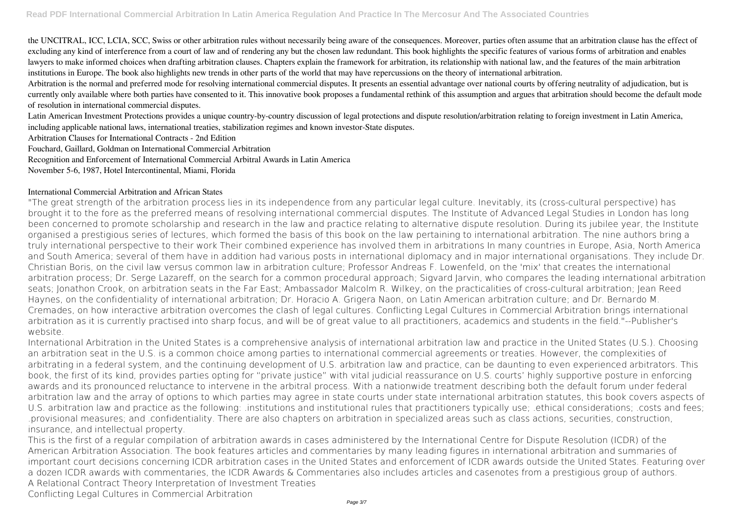the UNCITRAL, ICC, LCIA, SCC, Swiss or other arbitration rules without necessarily being aware of the consequences. Moreover, parties often assume that an arbitration clause has the effect of excluding any kind of interference from a court of law and of rendering any but the chosen law redundant. This book highlights the specific features of various forms of arbitration and enables lawyers to make informed choices when drafting arbitration clauses. Chapters explain the framework for arbitration, its relationship with national law, and the features of the main arbitration institutions in Europe. The book also highlights new trends in other parts of the world that may have repercussions on the theory of international arbitration. Arbitration is the normal and preferred mode for resolving international commercial disputes. It presents an essential advantage over national courts by offering neutrality of adjudication, but is currently only available where both parties have consented to it. This innovative book proposes a fundamental rethink of this assumption and argues that arbitration should become the default mode of resolution in international commercial disputes.

Latin American Investment Protections provides a unique country-by-country discussion of legal protections and dispute resolution/arbitration relating to foreign investment in Latin America, including applicable national laws, international treaties, stabilization regimes and known investor-State disputes.

Arbitration Clauses for International Contracts - 2nd Edition

Fouchard, Gaillard, Goldman on International Commercial Arbitration

Recognition and Enforcement of International Commercial Arbitral Awards in Latin America

November 5-6, 1987, Hotel Intercontinental, Miami, Florida

## International Commercial Arbitration and African States

"The great strength of the arbitration process lies in its independence from any particular legal culture. Inevitably, its (cross-cultural perspective) has brought it to the fore as the preferred means of resolving international commercial disputes. The Institute of Advanced Legal Studies in London has long been concerned to promote scholarship and research in the law and practice relating to alternative dispute resolution. During its jubilee year, the Institute organised a prestigious series of lectures, which formed the basis of this book on the law pertaining to international arbitration. The nine authors bring a truly international perspective to their work Their combined experience has involved them in arbitrations In many countries in Europe, Asia, North America and South America; several of them have in addition had various posts in international diplomacy and in major international organisations. They include Dr. Christian Boris, on the civil law versus common law in arbitration culture; Professor Andreas F. Lowenfeld, on the 'mix' that creates the international arbitration process; Dr. Serge Lazareff, on the search for a common procedural approach; Sigvard Jarvin, who compares the leading international arbitration seats; Jonathon Crook, on arbitration seats in the Far East; Ambassador Malcolm R. Wilkey, on the practicalities of cross-cultural arbitration; Jean Reed Haynes, on the confidentiality of international arbitration; Dr. Horacio A. Grigera Naon, on Latin American arbitration culture; and Dr. Bernardo M. Cremades, on how interactive arbitration overcomes the clash of legal cultures. Conflicting Legal Cultures in Commercial Arbitration brings international arbitration as it is currently practised into sharp focus, and will be of great value to all practitioners, academics and students in the field."--Publisher's website.

International Arbitration in the United States is a comprehensive analysis of international arbitration law and practice in the United States (U.S.). Choosing an arbitration seat in the U.S. is a common choice among parties to international commercial agreements or treaties. However, the complexities of arbitrating in a federal system, and the continuing development of U.S. arbitration law and practice, can be daunting to even experienced arbitrators. This book, the first of its kind, provides parties opting for "private justice" with vital judicial reassurance on U.S. courts' highly supportive posture in enforcing awards and its pronounced reluctance to intervene in the arbitral process. With a nationwide treatment describing both the default forum under federal arbitration law and the array of options to which parties may agree in state courts under state international arbitration statutes, this book covers aspects of U.S. arbitration law and practice as the following: .institutions and institutional rules that practitioners typically use; .ethical considerations; .costs and fees; .provisional measures; and .confidentiality. There are also chapters on arbitration in specialized areas such as class actions, securities, construction, insurance, and intellectual property.

This is the first of a regular compilation of arbitration awards in cases administered by the International Centre for Dispute Resolution (ICDR) of the American Arbitration Association. The book features articles and commentaries by many leading figures in international arbitration and summaries of important court decisions concerning ICDR arbitration cases in the United States and enforcement of ICDR awards outside the United States. Featuring over a dozen ICDR awards with commentaries, the ICDR Awards & Commentaries also includes articles and casenotes from a prestigious group of authors. A Relational Contract Theory Interpretation of Investment Treaties Conflicting Legal Cultures in Commercial Arbitration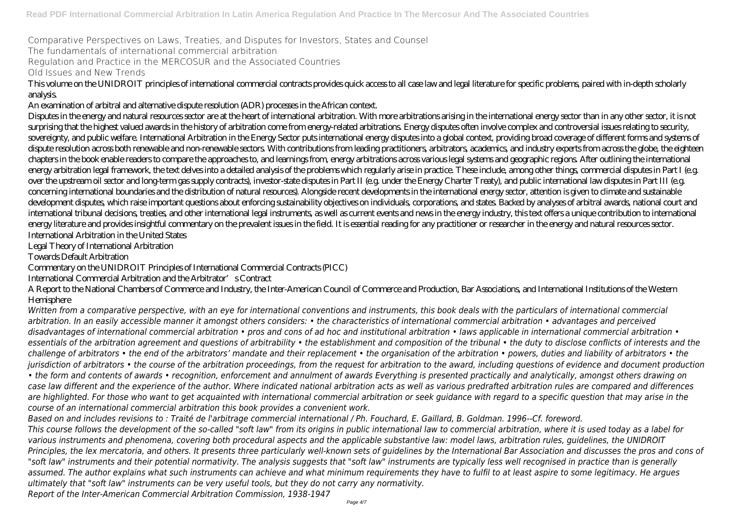Comparative Perspectives on Laws, Treaties, and Disputes for Investors, States and Counsel

The fundamentals of international commercial arbitration

Regulation and Practice in the MERCOSUR and the Associated Countries

Old Issues and New Trends

This volume on the UNIDROIT principles of international commercial contracts provides quick access to all case law and legal literature for specific problems, paired with in-depth scholarly analysis.

An examination of arbitral and alternative dispute resolution (ADR) processes in the African context.

## A Report to the National Chambers of Commerce and Industry, the Inter-American Council of Commerce and Production, Bar Associations, and International Institutions of the Western **Hemisphere**

Disputes in the energy and natural resources sector are at the heart of international arbitration. With more arbitrations arising in the international energy sector than in any other sector, it is not surprising that the highest valued awards in the history of arbitration come from energy-related arbitrations. Energy disputes often involve complex and controversial issues relating to security, sovereignty, and public welfare. International Arbitration in the Energy Sector puts international energy disputes into a global context, providing broad coverage of different forms and systems of dispute resolution across both renewable and non-renewable sectors. With contributions from leading practitioners, arbitrators, academics, and industry experts from across the globe, the eighteen chapters in the book enable readers to compare the approaches to, and learnings from, energy arbitrations across various legal systems and geographic regions. After outlining the international energy arbitration legal framework, the text delves into a detailed analysis of the problems which regularly arise in practice. These include, among other things, commercial disputes in Part I (e.g. over the upstream oil sector and long-term gas supply contracts), investor-state disputes in Part II (e.g. under the Energy Charter Treaty), and public international law disputes in Part III (e.g. concerning international boundaries and the distribution of natural resources). Alongside recent developments in the international energy sector, attention is given to climate and sustainable development disputes, which raise important questions about enforcing sustainability objectives on individuals, corporations, and states. Backed by analyses of arbitral awards, national court and international tribunal decisions, treaties, and other international legal instruments, as well as current events and news in the energy industry, this text offers a unique contribution to international energy literature and provides insightful commentary on the prevalent issues in the field. It is essential reading for any practitioner or researcher in the energy and natural resources sector. International Arbitration in the United States

Legal Theory of International Arbitration

Towards Default Arbitration

Commentary on the UNIDROIT Principles of International Commercial Contracts (PICC)

International Commercial Arbitration and the Arbitrator's Contract

*Written from a comparative perspective, with an eye for international conventions and instruments, this book deals with the particulars of international commercial arbitration. In an easily accessible manner it amongst others considers: • the characteristics of international commercial arbitration • advantages and perceived disadvantages of international commercial arbitration • pros and cons of ad hoc and institutional arbitration • laws applicable in international commercial arbitration • essentials of the arbitration agreement and questions of arbitrability • the establishment and composition of the tribunal • the duty to disclose conflicts of interests and the challenge of arbitrators • the end of the arbitrators' mandate and their replacement • the organisation of the arbitration • powers, duties and liability of arbitrators • the jurisdiction of arbitrators • the course of the arbitration proceedings, from the request for arbitration to the award, including questions of evidence and document production • the form and contents of awards • recognition, enforcement and annulment of awards Everything is presented practically and analytically, amongst others drawing on case law different and the experience of the author. Where indicated national arbitration acts as well as various predrafted arbitration rules are compared and differences are highlighted. For those who want to get acquainted with international commercial arbitration or seek guidance with regard to a specific question that may arise in the course of an international commercial arbitration this book provides a convenient work.*

*Based on and includes revisions to : Traité de l'arbitrage commercial international / Ph. Fouchard, E. Gaillard, B. Goldman. 1996--Cf. foreword. This course follows the development of the so-called "soft law" from its origins in public international law to commercial arbitration, where it is used today as a label for various instruments and phenomena, covering both procedural aspects and the applicable substantive law: model laws, arbitration rules, guidelines, the UNIDROIT Principles, the lex mercatoria, and others. It presents three particularly well-known sets of guidelines by the International Bar Association and discusses the pros and cons of "soft law" instruments and their potential normativity. The analysis suggests that "soft law" instruments are typically less well recognised in practice than is generally assumed. The author explains what such instruments can achieve and what minimum requirements they have to fulfil to at least aspire to some legitimacy. He argues ultimately that "soft law" instruments can be very useful tools, but they do not carry any normativity. Report of the Inter-American Commercial Arbitration Commission, 1938-1947*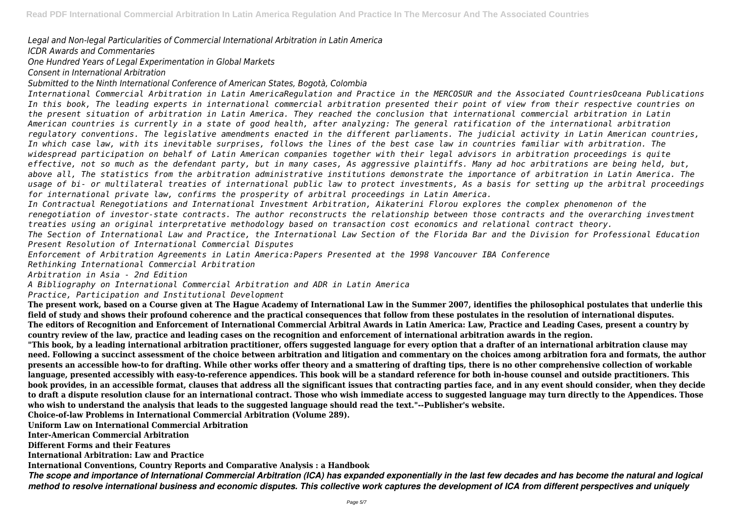*Legal and Non-legal Particularities of Commercial International Arbitration in Latin America*

*ICDR Awards and Commentaries*

*One Hundred Years of Legal Experimentation in Global Markets*

*Consent in International Arbitration*

*Submitted to the Ninth International Conference of American States, Bogotà, Colombia*

*International Commercial Arbitration in Latin AmericaRegulation and Practice in the MERCOSUR and the Associated CountriesOceana Publications In this book, The leading experts in international commercial arbitration presented their point of view from their respective countries on the present situation of arbitration in Latin America. They reached the conclusion that international commercial arbitration in Latin American countries is currently in a state of good health, after analyzing: The general ratification of the international arbitration regulatory conventions. The legislative amendments enacted in the different parliaments. The judicial activity in Latin American countries, In which case law, with its inevitable surprises, follows the lines of the best case law in countries familiar with arbitration. The widespread participation on behalf of Latin American companies together with their legal advisors in arbitration proceedings is quite effective, not so much as the defendant party, but in many cases, As aggressive plaintiffs. Many ad hoc arbitrations are being held, but, above all, The statistics from the arbitration administrative institutions demonstrate the importance of arbitration in Latin America. The usage of bi- or multilateral treaties of international public law to protect investments, As a basis for setting up the arbitral proceedings for international private law, confirms the prosperity of arbitral proceedings in Latin America.*

*In Contractual Renegotiations and International Investment Arbitration, Aikaterini Florou explores the complex phenomenon of the renegotiation of investor-state contracts. The author reconstructs the relationship between those contracts and the overarching investment treaties using an original interpretative methodology based on transaction cost economics and relational contract theory. The Section of International Law and Practice, the International Law Section of the Florida Bar and the Division for Professional Education Present Resolution of International Commercial Disputes*

*Enforcement of Arbitration Agreements in Latin America:Papers Presented at the 1998 Vancouver IBA Conference Rethinking International Commercial Arbitration*

*Arbitration in Asia - 2nd Edition*

*A Bibliography on International Commercial Arbitration and ADR in Latin America*

*Practice, Participation and Institutional Development*

**The present work, based on a Course given at The Hague Academy of International Law in the Summer 2007, identifies the philosophical postulates that underlie this field of study and shows their profound coherence and the practical consequences that follow from these postulates in the resolution of international disputes. The editors of Recognition and Enforcement of International Commercial Arbitral Awards in Latin America: Law, Practice and Leading Cases, present a country by country review of the law, practice and leading cases on the recognition and enforcement of international arbitration awards in the region. "This book, by a leading international arbitration practitioner, offers suggested language for every option that a drafter of an international arbitration clause may need. Following a succinct assessment of the choice between arbitration and litigation and commentary on the choices among arbitration fora and formats, the author presents an accessible how-to for drafting. While other works offer theory and a smattering of drafting tips, there is no other comprehensive collection of workable language, presented accessibly with easy-to-reference appendices. This book will be a standard reference for both in-house counsel and outside practitioners. This book provides, in an accessible format, clauses that address all the significant issues that contracting parties face, and in any event should consider, when they decide to draft a dispute resolution clause for an international contract. Those who wish immediate access to suggested language may turn directly to the Appendices. Those who wish to understand the analysis that leads to the suggested language should read the text."--Publisher's website.**

**Choice-of-law Problems in International Commercial Arbitration (Volume 289).**

**Uniform Law on International Commercial Arbitration**

**Inter-American Commercial Arbitration**

**Different Forms and their Features**

**International Arbitration: Law and Practice**

**International Conventions, Country Reports and Comparative Analysis : a Handbook**

*The scope and importance of International Commercial Arbitration (ICA) has expanded exponentially in the last few decades and has become the natural and logical method to resolve international business and economic disputes. This collective work captures the development of ICA from different perspectives and uniquely*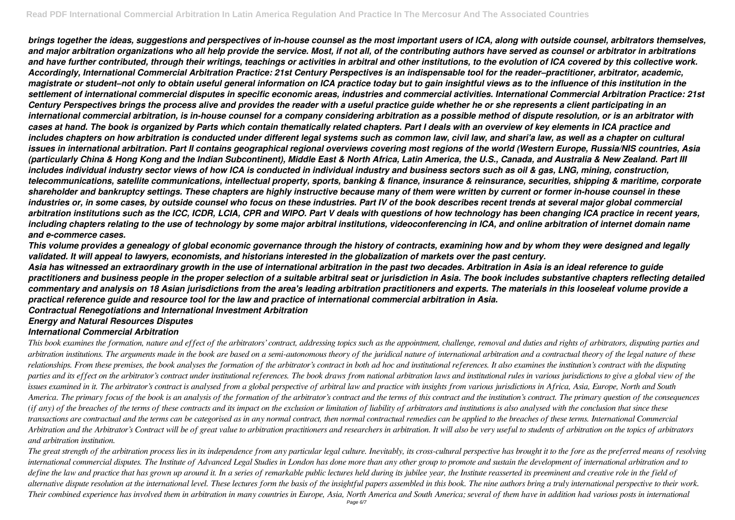*brings together the ideas, suggestions and perspectives of in-house counsel as the most important users of ICA, along with outside counsel, arbitrators themselves, and major arbitration organizations who all help provide the service. Most, if not all, of the contributing authors have served as counsel or arbitrator in arbitrations and have further contributed, through their writings, teachings or activities in arbitral and other institutions, to the evolution of ICA covered by this collective work. Accordingly, International Commercial Arbitration Practice: 21st Century Perspectives is an indispensable tool for the reader–practitioner, arbitrator, academic, magistrate or student–not only to obtain useful general information on ICA practice today but to gain insightful views as to the influence of this institution in the settlement of international commercial disputes in specific economic areas, industries and commercial activities. International Commercial Arbitration Practice: 21st Century Perspectives brings the process alive and provides the reader with a useful practice guide whether he or she represents a client participating in an international commercial arbitration, is in-house counsel for a company considering arbitration as a possible method of dispute resolution, or is an arbitrator with cases at hand. The book is organized by Parts which contain thematically related chapters. Part I deals with an overview of key elements in ICA practice and includes chapters on how arbitration is conducted under different legal systems such as common law, civil law, and shari'a law, as well as a chapter on cultural issues in international arbitration. Part II contains geographical regional overviews covering most regions of the world (Western Europe, Russia/NIS countries, Asia (particularly China & Hong Kong and the Indian Subcontinent), Middle East & North Africa, Latin America, the U.S., Canada, and Australia & New Zealand. Part III includes individual industry sector views of how ICA is conducted in individual industry and business sectors such as oil & gas, LNG, mining, construction, telecommunications, satellite communications, intellectual property, sports, banking & finance, insurance & reinsurance, securities, shipping & maritime, corporate shareholder and bankruptcy settings. These chapters are highly instructive because many of them were written by current or former in-house counsel in these industries or, in some cases, by outside counsel who focus on these industries. Part IV of the book describes recent trends at several major global commercial arbitration institutions such as the ICC, ICDR, LCIA, CPR and WIPO. Part V deals with questions of how technology has been changing ICA practice in recent years, including chapters relating to the use of technology by some major arbitral institutions, videoconferencing in ICA, and online arbitration of internet domain name and e-commerce cases.*

*This volume provides a genealogy of global economic governance through the history of contracts, examining how and by whom they were designed and legally validated. It will appeal to lawyers, economists, and historians interested in the globalization of markets over the past century. Asia has witnessed an extraordinary growth in the use of international arbitration in the past two decades. Arbitration in Asia is an ideal reference to guide practitioners and business people in the proper selection of a suitable arbitral seat or jurisdiction in Asia. The book includes substantive chapters reflecting detailed commentary and analysis on 18 Asian jurisdictions from the area's leading arbitration practitioners and experts. The materials in this looseleaf volume provide a practical reference guide and resource tool for the law and practice of international commercial arbitration in Asia. Contractual Renegotiations and International Investment Arbitration*

## *Energy and Natural Resources Disputes International Commercial Arbitration*

*This book examines the formation, nature and effect of the arbitrators' contract, addressing topics such as the appointment, challenge, removal and duties and rights of arbitrators, disputing parties and arbitration institutions. The arguments made in the book are based on a semi-autonomous theory of the juridical nature of international arbitration and a contractual theory of the legal nature of these relationships. From these premises, the book analyses the formation of the arbitrator's contract in both ad hoc and institutional references. It also examines the institution's contract with the disputing parties and its effect on the arbitrator's contract under institutional references. The book draws from national arbitration laws and institutional rules in various jurisdictions to give a global view of the issues examined in it. The arbitrator's contract is analysed from a global perspective of arbitral law and practice with insights from various jurisdictions in Africa, Asia, Europe, North and South America. The primary focus of the book is an analysis of the formation of the arbitrator's contract and the terms of this contract and the institution's contract. The primary question of the consequences (if any) of the breaches of the terms of these contracts and its impact on the exclusion or limitation of liability of arbitrators and institutions is also analysed with the conclusion that since these transactions are contractual and the terms can be categorised as in any normal contract, then normal contractual remedies can be applied to the breaches of these terms. International Commercial Arbitration and the Arbitrator's Contract will be of great value to arbitration practitioners and researchers in arbitration. It will also be very useful to students of arbitration on the topics of arbitrators and arbitration institution.*

*The great strength of the arbitration process lies in its independence from any particular legal culture. Inevitably, its cross-cultural perspective has brought it to the fore as the preferred means of resolving international commercial disputes. The Institute of Advanced Legal Studies in London has done more than any other group to promote and sustain the development of international arbitration and to define the law and practice that has grown up around it. In a series of remarkable public lectures held during its jubilee year, the Institute reasserted its preeminent and creative role in the field of alternative dispute resolution at the international level. These lectures form the basis of the insightful papers assembled in this book. The nine authors bring a truly international perspective to their work. Their combined experience has involved them in arbitration in many countries in Europe, Asia, North America and South America; several of them have in addition had various posts in international*